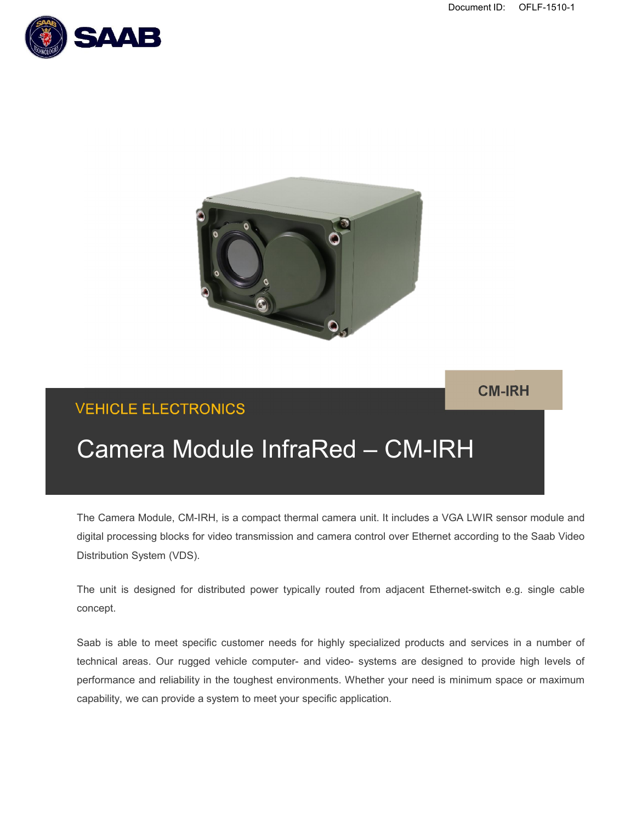Document ID: OFLF-1510-1





**CM-IRH**

## VEHICLE ELECTRONICS

# Camera Module InfraRed – CM-IRH

The Camera Module, CM-IRH, is a compact thermal camera unit. It includes a VGA LWIR sensor module and digital processing blocks for video transmission and camera control over Ethernet according to the Saab Video Distribution System (VDS).

The unit is designed for distributed power typically routed from adjacent Ethernet-switch e.g. single cable concept.

Saab is able to meet specific customer needs for highly specialized products and services in a number of technical areas. Our rugged vehicle computer- and video- systems are designed to provide high levels of performance and reliability in the toughest environments. Whether your need is minimum space or maximum capability, we can provide a system to meet your specific application.